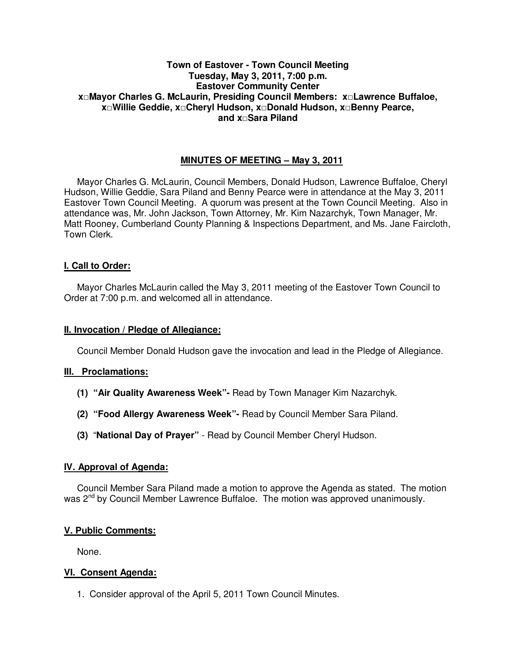# **Town of Eastover - Town Council Meeting Tuesday, May 3, 2011, 7:00 p.m. Eastover Community Center x□Mayor Charles G. McLaurin, Presiding Council Members: x□Lawrence Buffaloe, x□Willie Geddie, x□Cheryl Hudson, x□Donald Hudson, x□Benny Pearce, and x□Sara Piland**

# **MINUTES OF MEETING – May 3, 2011**

Mayor Charles G. McLaurin, Council Members, Donald Hudson, Lawrence Buffaloe, Cheryl Hudson, Willie Geddie, Sara Piland and Benny Pearce were in attendance at the May 3, 2011 Eastover Town Council Meeting. A quorum was present at the Town Council Meeting. Also in attendance was, Mr. John Jackson, Town Attorney, Mr. Kim Nazarchyk, Town Manager, Mr. Matt Rooney, Cumberland County Planning & Inspections Department, and Ms. Jane Faircloth, Town Clerk.

## **I. Call to Order:**

Mayor Charles McLaurin called the May 3, 2011 meeting of the Eastover Town Council to Order at 7:00 p.m. and welcomed all in attendance.

## **II. Invocation / Pledge of Allegiance:**

Council Member Donald Hudson gave the invocation and lead in the Pledge of Allegiance.

## **III. Proclamations:**

- **(1) "Air Quality Awareness Week"-** Read by Town Manager Kim Nazarchyk.
- **(2) "Food Allergy Awareness Week"-** Read by Council Member Sara Piland.
- **(3)** "**National Day of Prayer"** Read by Council Member Cheryl Hudson.

### **IV. Approval of Agenda:**

 Council Member Sara Piland made a motion to approve the Agenda as stated. The motion was 2<sup>nd</sup> by Council Member Lawrence Buffaloe. The motion was approved unanimously.

## **V. Public Comments:**

None.

## **VI. Consent Agenda:**

1. Consider approval of the April 5, 2011 Town Council Minutes.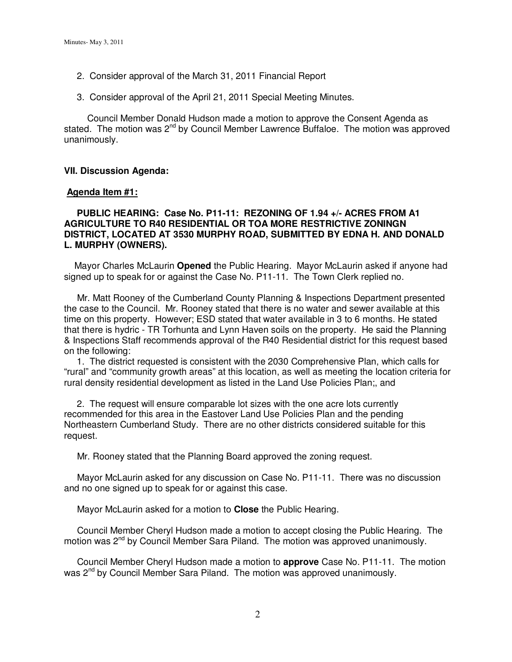- 2. Consider approval of the March 31, 2011 Financial Report
- 3. Consider approval of the April 21, 2011 Special Meeting Minutes.

Council Member Donald Hudson made a motion to approve the Consent Agenda as stated. The motion was  $2^{nd}$  by Council Member Lawrence Buffaloe. The motion was approved unanimously.

## **VII. Discussion Agenda:**

### **Agenda Item #1:**

## **PUBLIC HEARING: Case No. P11-11: REZONING OF 1.94 +/- ACRES FROM A1 AGRICULTURE TO R40 RESIDENTIAL OR TOA MORE RESTRICTIVE ZONINGN DISTRICT, LOCATED AT 3530 MURPHY ROAD, SUBMITTED BY EDNA H. AND DONALD L. MURPHY (OWNERS).**

 Mayor Charles McLaurin **Opened** the Public Hearing. Mayor McLaurin asked if anyone had signed up to speak for or against the Case No. P11-11. The Town Clerk replied no.

 Mr. Matt Rooney of the Cumberland County Planning & Inspections Department presented the case to the Council. Mr. Rooney stated that there is no water and sewer available at this time on this property. However; ESD stated that water available in 3 to 6 months. He stated that there is hydric - TR Torhunta and Lynn Haven soils on the property. He said the Planning & Inspections Staff recommends approval of the R40 Residential district for this request based on the following:

 1. The district requested is consistent with the 2030 Comprehensive Plan, which calls for "rural" and "community growth areas" at this location, as well as meeting the location criteria for rural density residential development as listed in the Land Use Policies Plan;, and

 2. The request will ensure comparable lot sizes with the one acre lots currently recommended for this area in the Eastover Land Use Policies Plan and the pending Northeastern Cumberland Study. There are no other districts considered suitable for this request.

Mr. Rooney stated that the Planning Board approved the zoning request.

 Mayor McLaurin asked for any discussion on Case No. P11-11. There was no discussion and no one signed up to speak for or against this case.

Mayor McLaurin asked for a motion to **Close** the Public Hearing.

 Council Member Cheryl Hudson made a motion to accept closing the Public Hearing. The motion was  $2<sup>nd</sup>$  by Council Member Sara Piland. The motion was approved unanimously.

 Council Member Cheryl Hudson made a motion to **approve** Case No. P11-11. The motion was 2<sup>nd</sup> by Council Member Sara Piland. The motion was approved unanimously.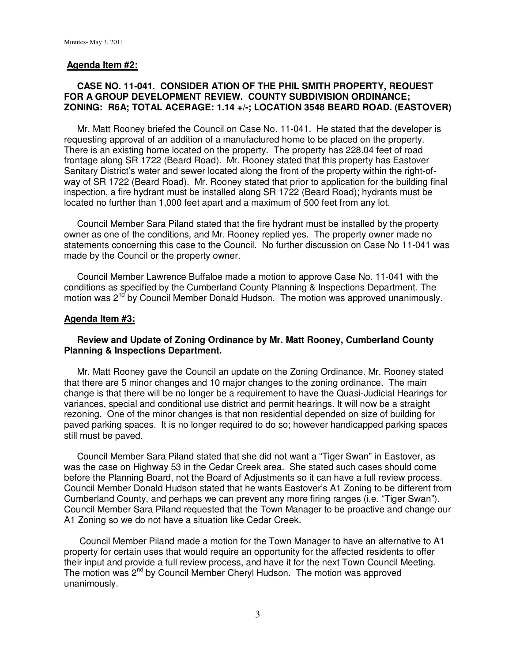#### **Agenda Item #2:**

## **CASE NO. 11-041. CONSIDER ATION OF THE PHIL SMITH PROPERTY, REQUEST FOR A GROUP DEVELOPMENT REVIEW. COUNTY SUBDIVISION ORDINANCE; ZONING: R6A; TOTAL ACERAGE: 1.14 +/-; LOCATION 3548 BEARD ROAD. (EASTOVER)**

 Mr. Matt Rooney briefed the Council on Case No. 11-041. He stated that the developer is requesting approval of an addition of a manufactured home to be placed on the property. There is an existing home located on the property. The property has 228.04 feet of road frontage along SR 1722 (Beard Road). Mr. Rooney stated that this property has Eastover Sanitary District's water and sewer located along the front of the property within the right-ofway of SR 1722 (Beard Road). Mr. Rooney stated that prior to application for the building final inspection, a fire hydrant must be installed along SR 1722 (Beard Road); hydrants must be located no further than 1,000 feet apart and a maximum of 500 feet from any lot.

 Council Member Sara Piland stated that the fire hydrant must be installed by the property owner as one of the conditions, and Mr. Rooney replied yes. The property owner made no statements concerning this case to the Council. No further discussion on Case No 11-041 was made by the Council or the property owner.

 Council Member Lawrence Buffaloe made a motion to approve Case No. 11-041 with the conditions as specified by the Cumberland County Planning & Inspections Department. The motion was 2<sup>nd</sup> by Council Member Donald Hudson. The motion was approved unanimously.

## **Agenda Item #3:**

## **Review and Update of Zoning Ordinance by Mr. Matt Rooney, Cumberland County Planning & Inspections Department.**

 Mr. Matt Rooney gave the Council an update on the Zoning Ordinance. Mr. Rooney stated that there are 5 minor changes and 10 major changes to the zoning ordinance. The main change is that there will be no longer be a requirement to have the Quasi-Judicial Hearings for variances, special and conditional use district and permit hearings. It will now be a straight rezoning. One of the minor changes is that non residential depended on size of building for paved parking spaces. It is no longer required to do so; however handicapped parking spaces still must be paved.

 Council Member Sara Piland stated that she did not want a "Tiger Swan" in Eastover, as was the case on Highway 53 in the Cedar Creek area. She stated such cases should come before the Planning Board, not the Board of Adjustments so it can have a full review process. Council Member Donald Hudson stated that he wants Eastover's A1 Zoning to be different from Cumberland County, and perhaps we can prevent any more firing ranges (i.e. "Tiger Swan"). Council Member Sara Piland requested that the Town Manager to be proactive and change our A1 Zoning so we do not have a situation like Cedar Creek.

 Council Member Piland made a motion for the Town Manager to have an alternative to A1 property for certain uses that would require an opportunity for the affected residents to offer their input and provide a full review process, and have it for the next Town Council Meeting. The motion was 2<sup>nd</sup> by Council Member Cheryl Hudson. The motion was approved unanimously.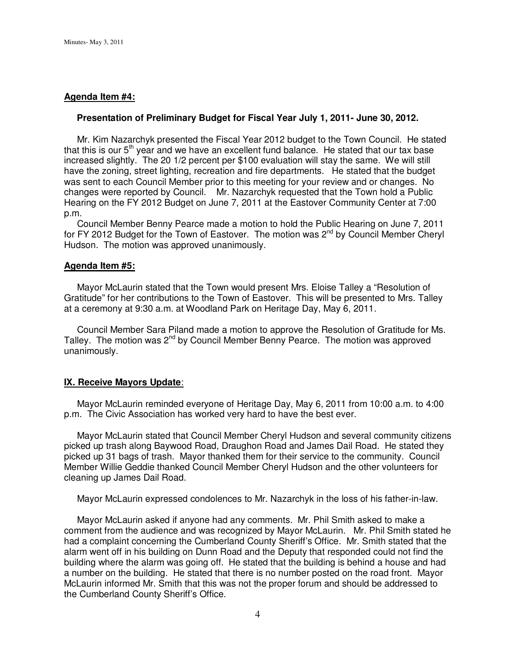### **Agenda Item #4:**

#### **Presentation of Preliminary Budget for Fiscal Year July 1, 2011- June 30, 2012.**

 Mr. Kim Nazarchyk presented the Fiscal Year 2012 budget to the Town Council. He stated that this is our  $5<sup>th</sup>$  year and we have an excellent fund balance. He stated that our tax base increased slightly. The 20 1/2 percent per \$100 evaluation will stay the same. We will still have the zoning, street lighting, recreation and fire departments. He stated that the budget was sent to each Council Member prior to this meeting for your review and or changes. No changes were reported by Council. Mr. Nazarchyk requested that the Town hold a Public Hearing on the FY 2012 Budget on June 7, 2011 at the Eastover Community Center at 7:00 p.m.

 Council Member Benny Pearce made a motion to hold the Public Hearing on June 7, 2011 for FY 2012 Budget for the Town of Eastover. The motion was 2<sup>nd</sup> by Council Member Cheryl Hudson. The motion was approved unanimously.

#### **Agenda Item #5:**

Mayor McLaurin stated that the Town would present Mrs. Eloise Talley a "Resolution of Gratitude" for her contributions to the Town of Eastover. This will be presented to Mrs. Talley at a ceremony at 9:30 a.m. at Woodland Park on Heritage Day, May 6, 2011.

 Council Member Sara Piland made a motion to approve the Resolution of Gratitude for Ms. Talley. The motion was 2<sup>nd</sup> by Council Member Benny Pearce. The motion was approved unanimously.

#### **IX. Receive Mayors Update**:

 Mayor McLaurin reminded everyone of Heritage Day, May 6, 2011 from 10:00 a.m. to 4:00 p.m. The Civic Association has worked very hard to have the best ever.

 Mayor McLaurin stated that Council Member Cheryl Hudson and several community citizens picked up trash along Baywood Road, Draughon Road and James Dail Road. He stated they picked up 31 bags of trash. Mayor thanked them for their service to the community. Council Member Willie Geddie thanked Council Member Cheryl Hudson and the other volunteers for cleaning up James Dail Road.

Mayor McLaurin expressed condolences to Mr. Nazarchyk in the loss of his father-in-law.

 Mayor McLaurin asked if anyone had any comments. Mr. Phil Smith asked to make a comment from the audience and was recognized by Mayor McLaurin. Mr. Phil Smith stated he had a complaint concerning the Cumberland County Sheriff's Office. Mr. Smith stated that the alarm went off in his building on Dunn Road and the Deputy that responded could not find the building where the alarm was going off. He stated that the building is behind a house and had a number on the building. He stated that there is no number posted on the road front. Mayor McLaurin informed Mr. Smith that this was not the proper forum and should be addressed to the Cumberland County Sheriff's Office.